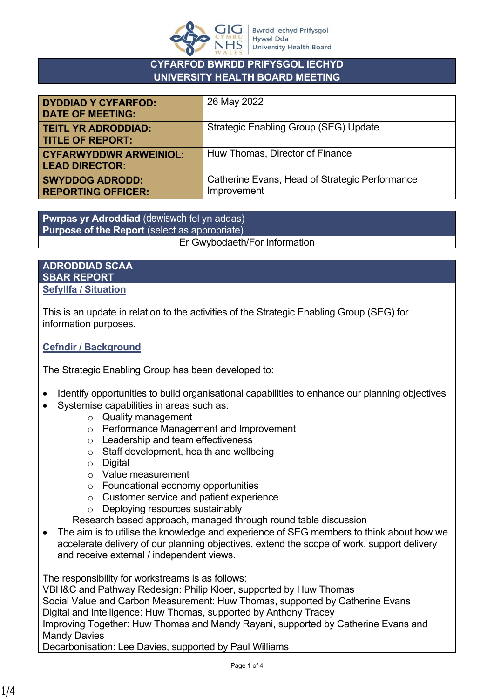

## **CYFARFOD BWRDD PRIFYSGOL IECHYD UNIVERSITY HEALTH BOARD MEETING**

| <b>DYDDIAD Y CYFARFOD:</b><br><b>DATE OF MEETING:</b>  | 26 May 2022                                                   |
|--------------------------------------------------------|---------------------------------------------------------------|
| <b>TEITL YR ADRODDIAD:</b><br><b>TITLE OF REPORT:</b>  | <b>Strategic Enabling Group (SEG) Update</b>                  |
| <b>CYFARWYDDWR ARWEINIOL:</b><br><b>LEAD DIRECTOR:</b> | Huw Thomas, Director of Finance                               |
| <b>SWYDDOG ADRODD:</b><br><b>REPORTING OFFICER:</b>    | Catherine Evans, Head of Strategic Performance<br>Improvement |

**Pwrpas yr Adroddiad** (dewiswch fel yn addas) **Purpose of the Report** (select as appropriate) Er Gwybodaeth/For Information

#### **ADRODDIAD SCAA SBAR REPORT Sefyllfa / Situation**

This is an update in relation to the activities of the Strategic Enabling Group (SEG) for information purposes.

## **Cefndir / Background**

The Strategic Enabling Group has been developed to:

- Identify opportunities to build organisational capabilities to enhance our planning objectives
- Systemise capabilities in areas such as:
	- o Quality management
	- o Performance Management and Improvement
	- o Leadership and team effectiveness
	- o Staff development, health and wellbeing
	- o Digital
	- o Value measurement
	- o Foundational economy opportunities
	- o Customer service and patient experience
	- o Deploying resources sustainably
	- Research based approach, managed through round table discussion
- The aim is to utilise the knowledge and experience of SEG members to think about how we accelerate delivery of our planning objectives, extend the scope of work, support delivery and receive external / independent views.

The responsibility for workstreams is as follows:

VBH&C and Pathway Redesign: Philip Kloer, supported by Huw Thomas Social Value and Carbon Measurement: Huw Thomas, supported by Catherine Evans Digital and Intelligence: Huw Thomas, supported by Anthony Tracey Improving Together: Huw Thomas and Mandy Rayani, supported by Catherine Evans and Mandy Davies

Decarbonisation: Lee Davies, supported by Paul Williams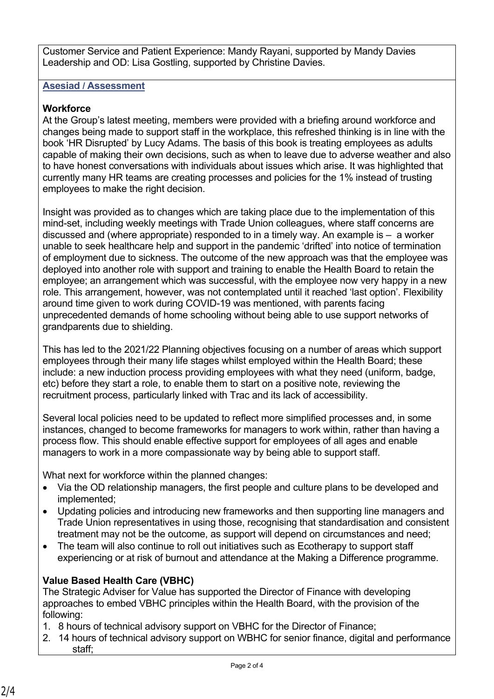Customer Service and Patient Experience: Mandy Rayani, supported by Mandy Davies Leadership and OD: Lisa Gostling, supported by Christine Davies.

#### **Asesiad / Assessment**

# **Workforce**

At the Group's latest meeting, members were provided with a briefing around workforce and changes being made to support staff in the workplace, this refreshed thinking is in line with the book 'HR Disrupted' by Lucy Adams. The basis of this book is treating employees as adults capable of making their own decisions, such as when to leave due to adverse weather and also to have honest conversations with individuals about issues which arise. It was highlighted that currently many HR teams are creating processes and policies for the 1% instead of trusting employees to make the right decision.

Insight was provided as to changes which are taking place due to the implementation of this mind-set, including weekly meetings with Trade Union colleagues, where staff concerns are discussed and (where appropriate) responded to in a timely way. An example is – a worker unable to seek healthcare help and support in the pandemic 'drifted' into notice of termination of employment due to sickness. The outcome of the new approach was that the employee was deployed into another role with support and training to enable the Health Board to retain the employee; an arrangement which was successful, with the employee now very happy in a new role. This arrangement, however, was not contemplated until it reached 'last option'. Flexibility around time given to work during COVID-19 was mentioned, with parents facing unprecedented demands of home schooling without being able to use support networks of grandparents due to shielding.

This has led to the 2021/22 Planning objectives focusing on a number of areas which support employees through their many life stages whilst employed within the Health Board; these include: a new induction process providing employees with what they need (uniform, badge, etc) before they start a role, to enable them to start on a positive note, reviewing the recruitment process, particularly linked with Trac and its lack of accessibility.

Several local policies need to be updated to reflect more simplified processes and, in some instances, changed to become frameworks for managers to work within, rather than having a process flow. This should enable effective support for employees of all ages and enable managers to work in a more compassionate way by being able to support staff.

What next for workforce within the planned changes:

- Via the OD relationship managers, the first people and culture plans to be developed and implemented;
- Updating policies and introducing new frameworks and then supporting line managers and Trade Union representatives in using those, recognising that standardisation and consistent treatment may not be the outcome, as support will depend on circumstances and need;
- The team will also continue to roll out initiatives such as Ecotherapy to support staff experiencing or at risk of burnout and attendance at the Making a Difference programme.

# **Value Based Health Care (VBHC)**

The Strategic Adviser for Value has supported the Director of Finance with developing approaches to embed VBHC principles within the Health Board, with the provision of the following:

- 1. 8 hours of technical advisory support on VBHC for the Director of Finance;
- 2. 14 hours of technical advisory support on WBHC for senior finance, digital and performance staff;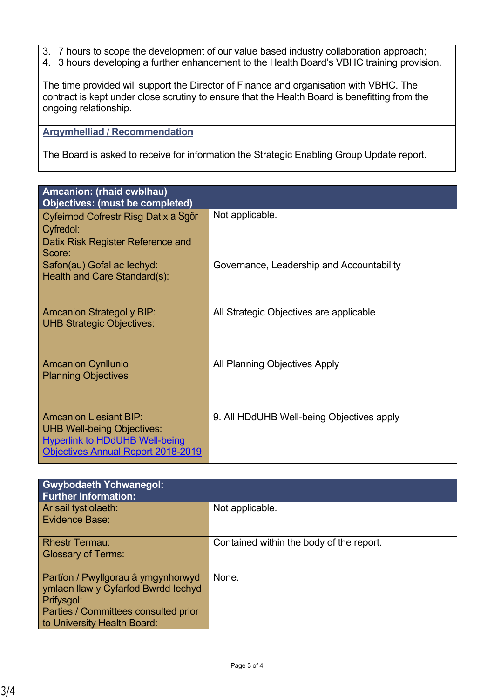- 3. 7 hours to scope the development of our value based industry collaboration approach;
- 4. 3 hours developing a further enhancement to the Health Board's VBHC training provision.

The time provided will support the Director of Finance and organisation with VBHC. The contract is kept under close scrutiny to ensure that the Health Board is benefitting from the ongoing relationship.

#### **Argymhelliad / Recommendation**

The Board is asked to receive for information the Strategic Enabling Group Update report.

| Amcanion: (rhaid cwblhau)<br><b>Objectives: (must be completed)</b>                                                                                      |                                           |  |
|----------------------------------------------------------------------------------------------------------------------------------------------------------|-------------------------------------------|--|
| Cyfeirnod Cofrestr Risg Datix a Sgôr<br>Cyfredol:<br>Datix Risk Register Reference and<br>Score:                                                         | Not applicable.                           |  |
| Safon(au) Gofal ac lechyd:<br>Health and Care Standard(s):                                                                                               | Governance, Leadership and Accountability |  |
| <b>Amcanion Strategol y BIP:</b><br><b>UHB Strategic Objectives:</b>                                                                                     | All Strategic Objectives are applicable   |  |
| <b>Amcanion Cynllunio</b><br><b>Planning Objectives</b>                                                                                                  | All Planning Objectives Apply             |  |
| <b>Amcanion Llesiant BIP:</b><br><b>UHB Well-being Objectives:</b><br><b>Hyperlink to HDdUHB Well-being</b><br><b>Objectives Annual Report 2018-2019</b> | 9. All HDdUHB Well-being Objectives apply |  |

| <b>Gwybodaeth Ychwanegol:</b><br><b>Further Information:</b>                                                                                                   |                                          |
|----------------------------------------------------------------------------------------------------------------------------------------------------------------|------------------------------------------|
| Ar sail tystiolaeth:<br>Evidence Base:                                                                                                                         | Not applicable.                          |
| <b>Rhestr Termau:</b><br><b>Glossary of Terms:</b>                                                                                                             | Contained within the body of the report. |
| Partïon / Pwyllgorau â ymgynhorwyd<br>ymlaen llaw y Cyfarfod Bwrdd Iechyd<br>Prifysgol:<br>Parties / Committees consulted prior<br>to University Health Board: | None.                                    |